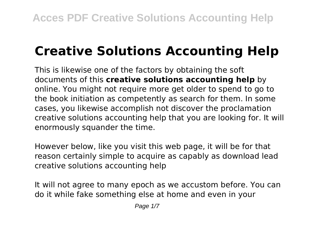# **Creative Solutions Accounting Help**

This is likewise one of the factors by obtaining the soft documents of this **creative solutions accounting help** by online. You might not require more get older to spend to go to the book initiation as competently as search for them. In some cases, you likewise accomplish not discover the proclamation creative solutions accounting help that you are looking for. It will enormously squander the time.

However below, like you visit this web page, it will be for that reason certainly simple to acquire as capably as download lead creative solutions accounting help

It will not agree to many epoch as we accustom before. You can do it while fake something else at home and even in your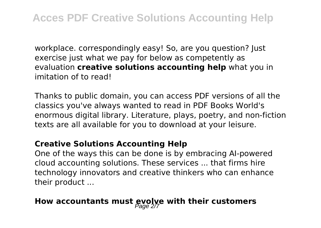workplace. correspondingly easy! So, are you question? Just exercise just what we pay for below as competently as evaluation **creative solutions accounting help** what you in imitation of to read!

Thanks to public domain, you can access PDF versions of all the classics you've always wanted to read in PDF Books World's enormous digital library. Literature, plays, poetry, and non-fiction texts are all available for you to download at your leisure.

#### **Creative Solutions Accounting Help**

One of the ways this can be done is by embracing AI-powered cloud accounting solutions. These services ... that firms hire technology innovators and creative thinkers who can enhance their product ...

# How accountants must gvolve with their customers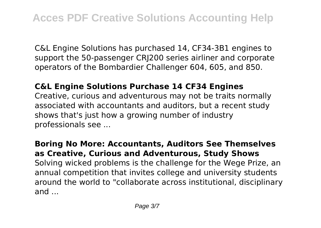C&L Engine Solutions has purchased 14, CF34-3B1 engines to support the 50-passenger CRJ200 series airliner and corporate operators of the Bombardier Challenger 604, 605, and 850.

#### **C&L Engine Solutions Purchase 14 CF34 Engines**

Creative, curious and adventurous may not be traits normally associated with accountants and auditors, but a recent study shows that's just how a growing number of industry professionals see ...

**Boring No More: Accountants, Auditors See Themselves as Creative, Curious and Adventurous, Study Shows** Solving wicked problems is the challenge for the Wege Prize, an annual competition that invites college and university students around the world to "collaborate across institutional, disciplinary and ...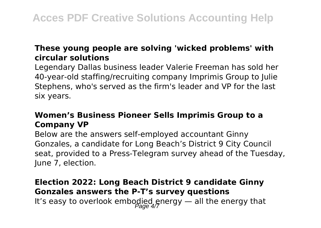## **These young people are solving 'wicked problems' with circular solutions**

Legendary Dallas business leader Valerie Freeman has sold her 40-year-old staffing/recruiting company Imprimis Group to Julie Stephens, who's served as the firm's leader and VP for the last six years.

## **Women's Business Pioneer Sells Imprimis Group to a Company VP**

Below are the answers self-employed accountant Ginny Gonzales, a candidate for Long Beach's District 9 City Council seat, provided to a Press-Telegram survey ahead of the Tuesday, June 7, election.

# **Election 2022: Long Beach District 9 candidate Ginny Gonzales answers the P-T's survey questions** It's easy to overlook embodied energy  $-$  all the energy that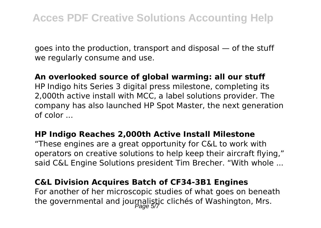goes into the production, transport and disposal — of the stuff we regularly consume and use.

#### **An overlooked source of global warming: all our stuff**

HP Indigo hits Series 3 digital press milestone, completing its 2,000th active install with MCC, a label solutions provider. The company has also launched HP Spot Master, the next generation of color ...

#### **HP Indigo Reaches 2,000th Active Install Milestone**

"These engines are a great opportunity for C&L to work with operators on creative solutions to help keep their aircraft flying," said C&L Engine Solutions president Tim Brecher. "With whole ...

#### **C&L Division Acquires Batch of CF34-3B1 Engines**

For another of her microscopic studies of what goes on beneath the governmental and journalistic clichés of Washington, Mrs.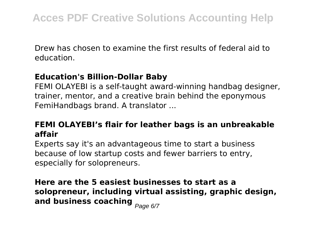Drew has chosen to examine the first results of federal aid to education.

### **Education's Billion-Dollar Baby**

FEMI OLAYEBI is a self-taught award-winning handbag designer, trainer, mentor, and a creative brain behind the eponymous FemiHandbags brand. A translator ...

# **FEMI OLAYEBI's flair for leather bags is an unbreakable affair**

Experts say it's an advantageous time to start a business because of low startup costs and fewer barriers to entry, especially for solopreneurs.

# **Here are the 5 easiest businesses to start as a solopreneur, including virtual assisting, graphic design, and business coaching Page 6/7**